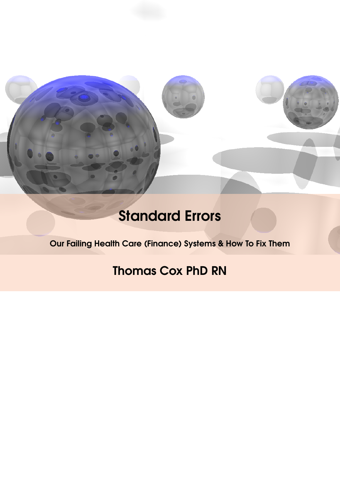

# Standard Errors

Our Failing Health Care (Finance) Systems & How To Fix Them

## Thomas Cox PhD RN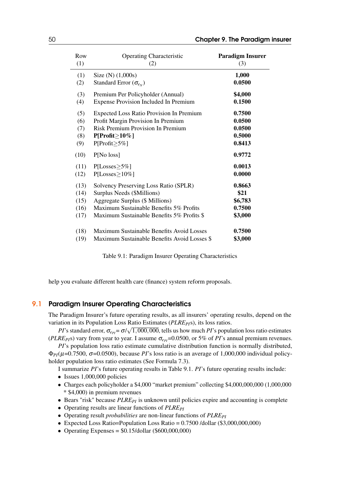| Row  | <b>Operating Characteristic</b>                 | <b>Paradigm Insurer</b> |
|------|-------------------------------------------------|-------------------------|
| (1)  | (2)                                             | (3)                     |
| (1)  | Size $(N)$ $(1,000s)$                           | 1,000                   |
| (2)  | Standard Error $(\sigma_{e_N})$                 | 0.0500                  |
| (3)  | Premium Per Policyholder (Annual)               | \$4,000                 |
| (4)  | <b>Expense Provision Included In Premium</b>    | 0.1500                  |
| (5)  | <b>Expected Loss Ratio Provision In Premium</b> | 0.7500                  |
| (6)  | Profit Margin Provision In Premium              | 0.0500                  |
| (7)  | Risk Premium Provision In Premium               | 0.0500                  |
| (8)  | $P[Profit \ge 10\%]$                            | 0.5000                  |
| (9)  | $P[Profit \geq 5\%]$                            | 0.8413                  |
| (10) | P[No loss]                                      | 0.9772                  |
| (11) | $P[Losses \geq 5\%]$                            | 0.0013                  |
| (12) | $P[Losses \ge 10\%]$                            | 0.0000                  |
| (13) | Solvency Preserving Loss Ratio (SPLR)           | 0.8663                  |
| (14) | Surplus Needs (\$Millions)                      | \$21                    |
| (15) | Aggregate Surplus (\$ Millions)                 | \$6,783                 |
| (16) | Maximum Sustainable Benefits 5% Profits         | 0.7500                  |
| (17) | Maximum Sustainable Benefits 5% Profits \$      | \$3,000                 |
| (18) | Maximum Sustainable Benefits Avoid Losses       | 0.7500                  |
| (19) | Maximum Sustainable Benefits Avoid Losses \$    | \$3,000                 |

<span id="page-1-0"></span>Table 9.1: Paradigm Insurer Operating Characteristics

help you evaluate different health care (finance) system reform proposals.

### 9.1 Paradigm Insurer Operating Characteristics

The Paradigm Insurer's future operating results, as all insurers' operating results, depend on the variation in its Population Loss Ratio Estimates (*PLRE*<sub>*PI*</sub>s), its loss ratios.

*PI*'s standard error,  $\sigma_{ePI} = \sigma / \sqrt{1,000,000}$ , tells us how much *PI*'s population loss ratio estimates (*PLRE*<sub>*PI*</sub>s) vary from year to year. I assume  $\sigma_{e}$ <sup> $=0.0500$ </sup>, or 5% of *PI*'s annual premium revenues. *PI*'s population loss ratio estimate cumulative distribution function is normally distributed,

 $\Phi_{PI}(\mu=0.7500, \sigma=0.0500)$ , because *PI*'s loss ratio is an average of 1,000,000 individual policyholder population loss ratio estimates (See Formula [7.3\)](#page--1-0).

I summarize *PI*'s future operating results in Table [9.1.](#page-1-0) *PI*'s future operating results include:

- Issues 1,000,000 policies
- Charges each policyholder a \$4,000 "market premium" collecting \$4,000,000,000 (1,000,000 \* \$4,000) in premium revenues
- Bears "risk" because *PLRE*<sub>*PI*</sub> is unknown until policies expire and accounting is complete
- Operating results are linear functions of *PLREPI*
- Operating result *probabilities* are non-linear functions of *PLREPI*
- Expected Loss Ratio=Population Loss Ratio =  $0.7500$  /dollar (\$3,000,000,000)
- Operating Expenses =  $$0.15/dollar$  (\$600,000,000)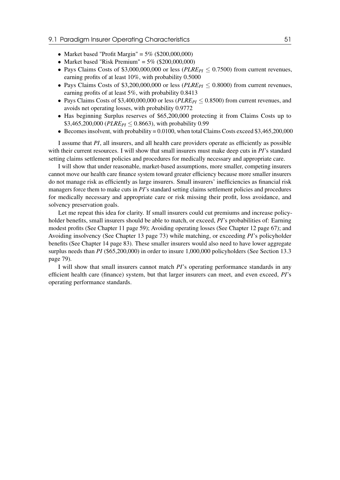#### 9.1 Paradigm Insurer Operating Characteristics 31 April 2014 15:30 S1

- Market based "Profit Margin" =  $5\%$  (\$200,000,000)
- Market based "Risk Premium" =  $5\%$  (\$200,000,000)
- Pays Claims Costs of \$3,000,000,000 or less ( $PLRE_{PI} \leq 0.7500$ ) from current revenues, earning profits of at least 10%, with probability 0.5000
- Pays Claims Costs of \$3,200,000,000 or less ( $PLRE_{PI} \leq 0.8000$ ) from current revenues, earning profits of at least 5%, with probability 0.8413
- Pays Claims Costs of \$3,400,000,000 or less (*PLREPI* ≤ 0.8500) from current revenues, and avoids net operating losses, with probability 0.9772
- Has beginning Surplus reserves of \$65,200,000 protecting it from Claims Costs up to \$3,465,200,000 ( $PLRE_{PI} \leq 0.8663$ ), with probability 0.99
- Becomes insolvent, with probability =  $0.0100$ , when total Claims Costs exceed \$3,465,200,000

I assume that *PI*, all insurers, and all health care providers operate as efficiently as possible with their current resources. I will show that small insurers must make deep cuts in *PI*'s standard setting claims settlement policies and procedures for medically necessary and appropriate care.

I will show that under reasonable, market-based assumptions, more smaller, competing insurers cannot move our health care finance system toward greater efficiency because more smaller insurers do not manage risk as efficiently as large insurers. Small insurers' inefficiencies as financial risk managers force them to make cuts in *PI*'s standard setting claims settlement policies and procedures for medically necessary and appropriate care or risk missing their profit, loss avoidance, and solvency preservation goals.

Let me repeat this idea for clarity. If small insurers could cut premiums and increase policyholder benefits, small insurers should be able to match, or exceed, *PI*'s probabilities of: Earning modest profits (See Chapter [11](#page--1-1) page [59\)](#page--1-1); Avoiding operating losses (See Chapter [12](#page--1-1) page [67\)](#page--1-1); and Avoiding insolvency (See Chapter [13](#page--1-1) page [73\)](#page--1-1) while matching, or exceeding *PI*'s policyholder benefits (See Chapter [14](#page--1-1) page [83\)](#page--1-1). These smaller insurers would also need to have lower aggregate surplus needs than *PI* (\$65,200,000) in order to insure 1,000,000 policyholders (See Section [13.3](#page--1-2) page [79\)](#page--1-2).

I will show that small insurers cannot match *PI*'s operating performance standards in any efficient health care (finance) system, but that larger insurers can meet, and even exceed, *PI*'s operating performance standards.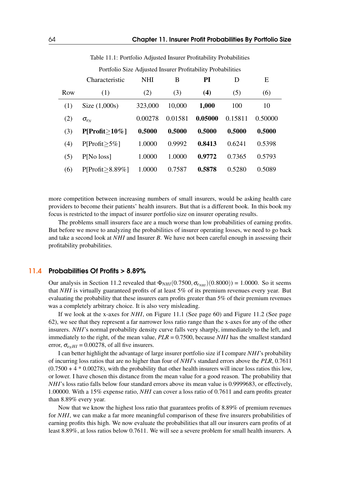|     | Characteristic    | <b>NHI</b> | B       | PI      | D       | E       |
|-----|-------------------|------------|---------|---------|---------|---------|
| Row | (1)               | (2)        | (3)     | (4)     | (5)     | (6)     |
| (1) | Size $(1,000s)$   | 323,000    | 10,000  | 1,000   | 100     | 10      |
| (2) | $\sigma_{e_N}$    | 0.00278    | 0.01581 | 0.05000 | 0.15811 | 0.50000 |
| (3) | $P[Profit>10\%]$  | 0.5000     | 0.5000  | 0.5000  | 0.5000  | 0.5000  |
| (4) | $P[Profit > 5\%]$ | 1.0000     | 0.9992  | 0.8413  | 0.6241  | 0.5398  |
| (5) | P[No loss]        | 1.0000     | 1.0000  | 0.9772  | 0.7365  | 0.5793  |
| (6) | P[Profit>8.89%]   | 1.0000     | 0.7587  | 0.5878  | 0.5280  | 0.5089  |

Table 11.1: Portfolio Adjusted Insurer Profitability Probabilities

Portfolio Size Adjusted Insurer Profitability Probabilities

more competition between increasing numbers of small insurers, would be asking health care providers to become their patients' health insurers. But that is a different book. In this book my focus is restricted to the impact of insurer portfolio size on insurer operating results.

The problems small insurers face are a much worse than low probabilities of earning profits. But before we move to analyzing the probabilities of insurer operating losses, we need to go back and take a second look at *NHI* and Insurer *B*. We have not been careful enough in assessing their profitability probabilities.

#### 11.4 Probabilities Of Profits > 8.89%

Our analysis in Section [11.2](#page--1-3) revealed that  $\Phi_{NHI}(0.7500, \sigma_{e_{NHI}})(0.8000) = 1.0000$ . So it seems that *NHI* is virtually guaranteed profits of at least 5% of its premium revenues every year. But evaluating the probability that these insurers earn profits greater than 5% of their premium revenues was a completely arbitrary choice. It is also very misleading.

If we look at the x-axes for *NHI*, on Figure [11.1](#page--1-4) (See page [60\)](#page--1-4) and Figure [11.2](#page--1-5) (See page [62\)](#page--1-5), we see that they represent a far narrower loss ratio range than the x-axes for any of the other insurers. *NHI*'s normal probability density curve falls very sharply, immediately to the left, and immediately to the right, of the mean value, *PLR* = 0.7500, because *NHI* has the smallest standard error,  $\sigma_{e}$ <sub>*HI*</sub> = 0.00278, of all five insurers.

I can better highlight the advantage of large insurer portfolio size if I compare *NHI*'s probability of incurring loss ratios that are no higher than four of *NHI*'s standard errors above the *PLR*, 0.7611  $(0.7500 + 4 * 0.00278)$ , with the probability that other health insurers will incur loss ratios this low, or lower. I have chosen this distance from the mean value for a good reason. The probability that *NHI*'s loss ratio falls below four standard errors above its mean value is 0.9999683, or effectively, 1.00000. With a 15% expense ratio, *NHI* can cover a loss ratio of 0.7611 and earn profits greater than 8.89% every year.

Now that we know the highest loss ratio that guarantees profits of 8.89% of premium revenues for *NHI*, we can make a far more meaningful comparison of these five insurers probabilities of earning profits this high. We now evaluate the probabilities that all our insurers earn profits of at least 8.89%, at loss ratios below 0.7611. We will see a severe problem for small health insurers. A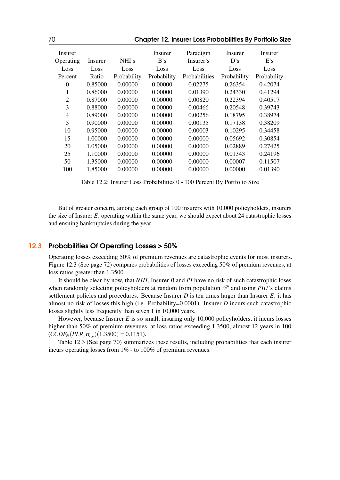| 70             | <b>Chapter 12. Insurer Loss Probabilities By Portfolio Size</b> |             |             |               |             |             |  |  |  |
|----------------|-----------------------------------------------------------------|-------------|-------------|---------------|-------------|-------------|--|--|--|
| Insurer        |                                                                 |             | Insurer     | Paradigm      | Insurer     | Insurer     |  |  |  |
| Operating      | Insurer                                                         | NHI's       | B's         | Insurer's     | D's         | E's         |  |  |  |
| Loss           | Loss                                                            | Loss        | Loss        | Loss          | Loss        | Loss        |  |  |  |
| Percent        | Ratio                                                           | Probability | Probability | Probabilities | Probability | Probability |  |  |  |
| $\theta$       | 0.85000                                                         | 0.00000     | 0.00000     | 0.02275       | 0.26354     | 0.42074     |  |  |  |
| $\mathbf{1}$   | 0.86000                                                         | 0.00000     | 0.00000     | 0.01390       | 0.24330     | 0.41294     |  |  |  |
| $\overline{2}$ | 0.87000                                                         | 0.00000     | 0.00000     | 0.00820       | 0.22394     | 0.40517     |  |  |  |
| 3              | 0.88000                                                         | 0.00000     | 0.00000     | 0.00466       | 0.20548     | 0.39743     |  |  |  |
| $\overline{4}$ | 0.89000                                                         | 0.00000     | 0.00000     | 0.00256       | 0.18795     | 0.38974     |  |  |  |
| 5              | 0.90000                                                         | 0.00000     | 0.00000     | 0.00135       | 0.17138     | 0.38209     |  |  |  |
| 10             | 0.95000                                                         | 0.00000     | 0.00000     | 0.00003       | 0.10295     | 0.34458     |  |  |  |
| 15             | 1.00000                                                         | 0.00000     | 0.00000     | 0.00000       | 0.05692     | 0.30854     |  |  |  |
| 20             | 1.05000                                                         | 0.00000     | 0.00000     | 0.00000       | 0.02889     | 0.27425     |  |  |  |
| 25             | 1.10000                                                         | 0.00000     | 0.00000     | 0.00000       | 0.01343     | 0.24196     |  |  |  |
| 50             | 1.35000                                                         | 0.00000     | 0.00000     | 0.00000       | 0.00007     | 0.11507     |  |  |  |
| 100            | 1.85000                                                         | 0.00000     | 0.00000     | 0.00000       | 0.00000     | 0.01390     |  |  |  |

Table 12.2: Insurer Loss Probabilities 0 - 100 Percent By Portfolio Size

But of greater concern, among each group of 100 insurers with 10,000 policyholders, insurers the size of Insurer *E*, operating within the same year, we should expect about 24 catastrophic losses and ensuing bankruptcies during the year.

#### 12.3 Probabilities Of Operating Losses > 50%

<span id="page-4-0"></span>Operating losses exceeding 50% of premium revenues are catastrophic events for most insurers. Figure [12.3](#page-4-0) (See page [72\)](#page-4-0) compares probabilities of losses exceeding 50% of premium revenues, at loss ratios greater than 1.3500.

It should be clear by now, that *NHI*, Insurer *B* and *PI* have no risk of such catastrophic loses when randomly selecting policyholders at random from population  $\mathscr P$  and using *PIU*'s claims settlement policies and procedures. Because Insurer  $D$  is ten times larger than Insurer  $E$ , it has almost no risk of losses this high (i.e. Probability=0.0001). Insurer *D* incurs such catastrophic losses slightly less frequently than seven 1 in 10,000 years.

However, because Insurer *E* is so small, insuring only 10,000 policyholders, it incurs losses higher than 50% of premium revenues, at loss ratios exceeding 1.3500, almost 12 years in 100  $(CCDF_N(PLR, \sigma_{e_N})(1.3500) = 0.1151).$ 

Table [12.3](#page--1-6) (See page [70\)](#page--1-6) summarizes these results, including probabilities that each insurer incurs operating losses from 1% - to 100% of premium revenues.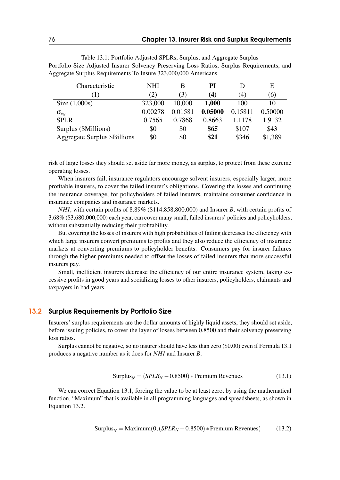Table 13.1: Portfolio Adjusted SPLRs, Surplus, and Aggregate Surplus Portfolio Size Adjusted Insurer Solvency Preserving Loss Ratios, Surplus Requirements, and Aggregate Surplus Requirements To Insure 323,000,000 Americans

| Characteristic                      | NHI     | В       | PI      |         | Е       |
|-------------------------------------|---------|---------|---------|---------|---------|
| (1)                                 | (2)     | (3)     | (4)     | (4)     | (6)     |
| Size $(1,000s)$                     | 323,000 | 10,000  | 1,000   | 100     | 10      |
| $\sigma_{e_N}$                      | 0.00278 | 0.01581 | 0.05000 | 0.15811 | 0.50000 |
| <b>SPLR</b>                         | 0.7565  | 0.7868  | 0.8663  | 1.1178  | 1.9132  |
| Surplus (\$Millions)                | \$0     | \$0     | \$65    | \$107   | \$43    |
| <b>Aggregate Surplus \$Billions</b> | \$0     | \$0     | \$21    | \$346   | \$1,389 |

risk of large losses they should set aside far more money, as surplus, to protect from these extreme operating losses.

When insurers fail, insurance regulators encourage solvent insurers, especially larger, more profitable insurers, to cover the failed insurer's obligations. Covering the losses and continuing the insurance coverage, for policyholders of failed insurers, maintains consumer confidence in insurance companies and insurance markets.

*NHI*, with certain profits of 8.89% (\$114,858,800,000) and Insurer *B*, with certain profits of 3.68% (\$3,680,000,000) each year, can cover many small, failed insurers' policies and policyholders, without substantially reducing their profitability.

But covering the losses of insurers with high probabilities of failing decreases the efficiency with which large insurers convert premiums to profits and they also reduce the efficiency of insurance markets at converting premiums to policyholder benefits. Consumers pay for insurer failures through the higher premiums needed to offset the losses of failed insurers that more successful insurers pay.

Small, inefficient insurers decrease the efficiency of our entire insurance system, taking excessive profits in good years and socializing losses to other insurers, policyholders, claimants and taxpayers in bad years.

#### 13.2 Surplus Requirements by Portfolio Size

Insurers' surplus requirements are the dollar amounts of highly liquid assets, they should set aside, before issuing policies, to cover the layer of losses between 0.8500 and their solvency preserving loss ratios.

Surplus cannot be negative, so no insurer should have less than zero (\$0.00) even if Formula [13.1](#page-5-0) produces a negative number as it does for *NHI* and Insurer *B*:

<span id="page-5-1"></span><span id="page-5-0"></span>
$$
Surplus_N = (SPLR_N - 0.8500) * Premium Revenues
$$
\n(13.1)

We can correct Equation [13.1,](#page-5-0) forcing the value to be at least zero, by using the mathematical function, "Maximum" that is available in all programming languages and spreadsheets, as shown in Equation [13.2.](#page-5-1)

$$
Surplus_N = Maximum(0, (SPLR_N - 0.8500) * Premium Revenues)
$$
 (13.2)